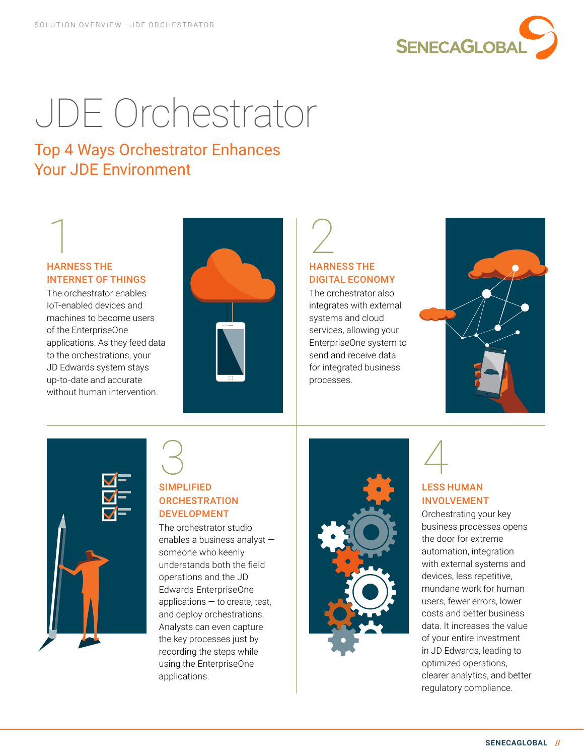

# JDE Orchestrator

#### Top 4 Ways Orchestrator Enhances Your JDE Environment

# 1 HARNESS THE INTERNET OF THINGS

The orchestrator enables IoT-enabled devices and machines to become users of the EnterpriseOne applications. As they feed data to the orchestrations, your JD Edwards system stays up-to-date and accurate without human intervention.



# 2 HARNESS THE DIGITAL ECONOMY

The orchestrator also integrates with external systems and cloud services, allowing your EnterpriseOne system to send and receive data for integrated business processes.





### 3 SIMPLIFIED **ORCHESTRATION** DEVELOPMENT

The orchestrator studio enables a business analyst someone who keenly understands both the field operations and the JD Edwards EnterpriseOne applications  $-$  to create, test, and deploy orchestrations. Analysts can even capture the key processes just by recording the steps while using the EnterpriseOne applications.





#### LESS HUMAN INVOLVEMENT

Orchestrating your key business processes opens the door for extreme automation, integration with external systems and devices, less repetitive, mundane work for human users, fewer errors, lower costs and better business data. It increases the value of your entire investment in JD Edwards, leading to optimized operations, clearer analytics, and better regulatory compliance.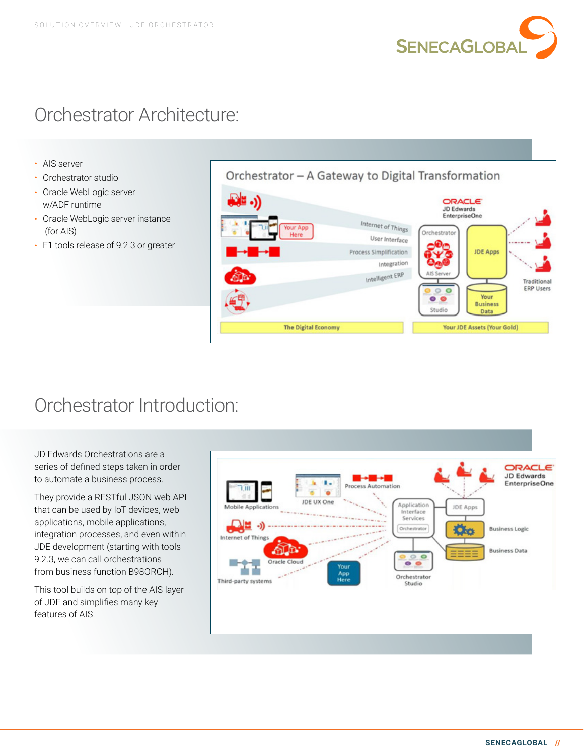

## Orchestrator Architecture:

- AIS server
- Orchestrator studio
- Oracle WebLogic server w/ADF runtime
- Oracle WebLogic server instance (for AIS)
- E1 tools release of 9.2.3 or greater



## Orchestrator Introduction:

JD Edwards Orchestrations are a series of defined steps taken in order to automate a business process.

They provide a RESTful JSON web API that can be used by IoT devices, web applications, mobile applications, integration processes, and even within JDE development (starting with tools 9.2.3, we can call orchestrations from business function B98ORCH).

This tool builds on top of the AIS layer of JDE and simplifies many key features of AIS.

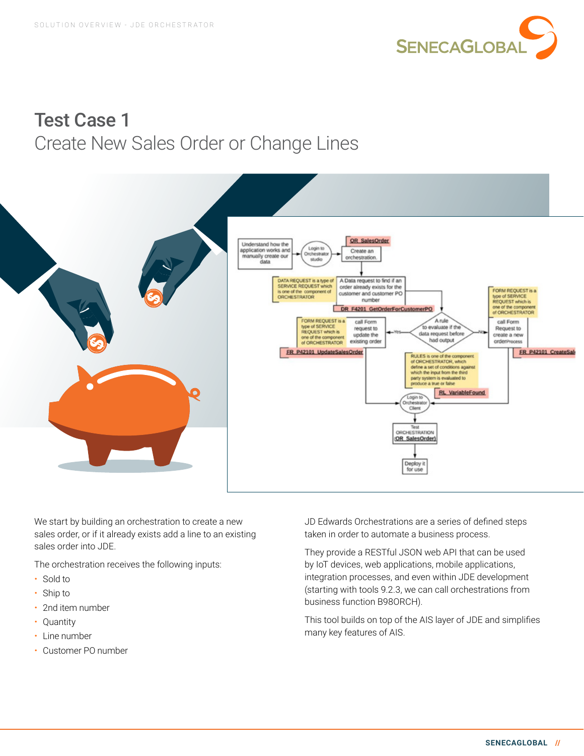

## Test Case 1 Create New Sales Order or Change Lines



We start by building an orchestration to create a new sales order, or if it already exists add a line to an existing sales order into JDE.

The orchestration receives the following inputs:

- Sold to
- Ship to
- 2nd item number
- Quantity
- Line number
- Customer PO number

JD Edwards Orchestrations are a series of defined steps taken in order to automate a business process.

They provide a RESTful JSON web API that can be used by IoT devices, web applications, mobile applications, integration processes, and even within JDE development (starting with tools 9.2.3, we can call orchestrations from business function B98ORCH).

This tool builds on top of the AIS layer of JDE and simplifies many key features of AIS.